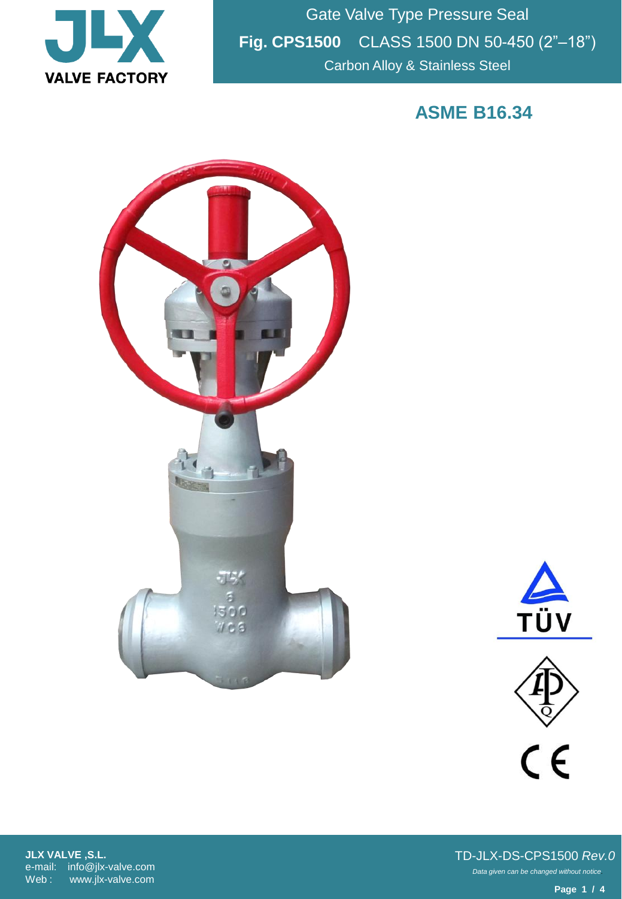

Gate Valve Type Pressure Seal **Fig. CPS1500** CLASS 1500 DN 50-450 (2"–18") Carbon Alloy & Stainless Steel

**ASME B16.34**







**JLX VALVE ,S.L.** e-mail: info@jlx-valve.com Web : www.jlx-valve.com

*Data given can be changed without notice.* TD-JLX-DS-CPS1500 *Rev.0*

**Page 1 / 4**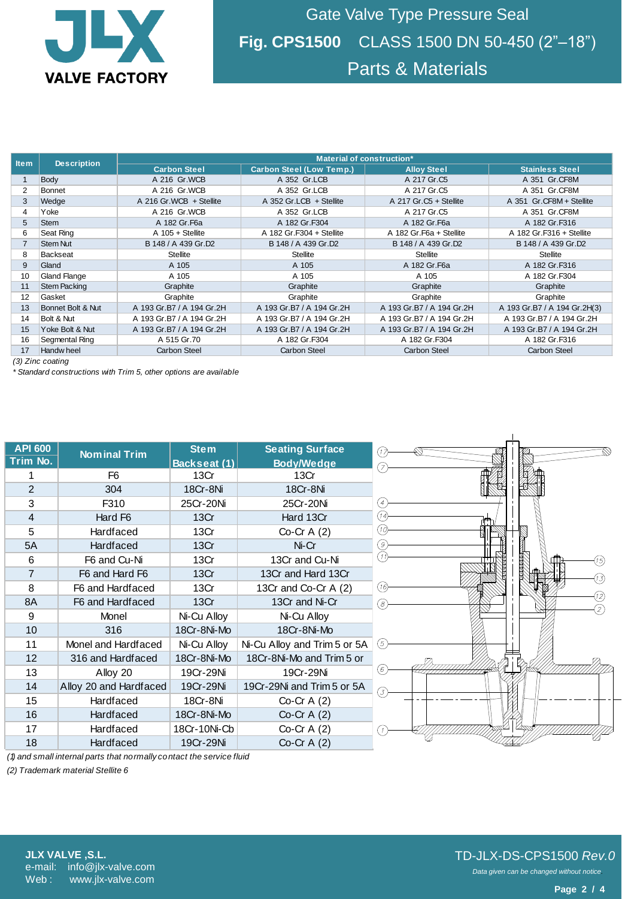

Gate Valve Type Pressure Seal **Fig. CPS1500** CLASS 1500 DN 50-450 (2"–18") Parts & Materials

| Item                                                                                  | <b>Description</b>  | Material of construction*   |                                             |                           |                              |  |
|---------------------------------------------------------------------------------------|---------------------|-----------------------------|---------------------------------------------|---------------------------|------------------------------|--|
|                                                                                       |                     | <b>Carbon Steel</b>         | <b>Carbon Steel (Low Temp.)</b>             | <b>Alloy Steel</b>        | <b>Stainless Steel</b>       |  |
| 1                                                                                     | Body                | A 216 Gr.WCB                | A 352 Gr.LCB                                | A 217 Gr.C5               | A 351 Gr.CF8M                |  |
| $\overline{2}$                                                                        | <b>Bonnet</b>       | A 216 Gr.WCB                | A 352 Gr.LCB                                | A 217 Gr.C5               | A 351 Gr.CF8M                |  |
| 3                                                                                     | Wedge               | A 216 Gr.WCB + Stellite     | A 352 Gr.LCB + Stellite                     | A 217 Gr.C5 + Stellite    | A 351 Gr.CF8M + Stellite     |  |
| 4                                                                                     | Yoke                | A 216 Gr.WCB                | A 352 Gr.LCB                                | A 217 Gr.C5               | A 351 Gr.CF8M                |  |
| 5                                                                                     | <b>Stem</b>         | A 182 Gr.F6a                | A 182 Gr.F304                               | A 182 Gr.F6a              | A 182 Gr.F316                |  |
| 6                                                                                     | Seat Ring           | $A$ 105 + Stellite          | A 182 Gr.F304 + Stellite                    | A 182 Gr.F6a + Stellite   | A 182 Gr.F316 + Stellite     |  |
| $\overline{7}$                                                                        | <b>Stem Nut</b>     | B 148 / A 439 Gr.D2         | B 148 / A 439 Gr.D2                         | B 148 / A 439 Gr.D2       | B 148 / A 439 Gr.D2          |  |
| 8                                                                                     | <b>Backseat</b>     | <b>Stellite</b>             | <b>Stellite</b>                             | <b>Stellite</b>           | <b>Stellite</b>              |  |
| 9                                                                                     | Gland               | A 105                       | A 105                                       | A 182 Gr. F6a             | A 182 Gr.F316                |  |
| 10                                                                                    | <b>Gland Flange</b> | A 105                       | A 105                                       | A 105                     | A 182 Gr.F304                |  |
| 11                                                                                    | <b>Stem Packing</b> | Graphite                    | Graphite<br>Graphite                        |                           | Graphite                     |  |
| 12                                                                                    | Gasket              | Graphite                    | Graphite                                    | Graphite                  | Graphite                     |  |
| 13                                                                                    | Bonnet Bolt & Nut   | A 193 Gr.B7 / A 194 Gr.2H   | A 193 Gr.B7 / A 194 Gr.2H                   | A 193 Gr.B7 / A 194 Gr.2H | A 193 Gr.B7 / A 194 Gr.2H(3) |  |
| 14                                                                                    | Bolt & Nut          | A 193 Gr.B7 / A 194 Gr.2H   | A 193 Gr.B7 / A 194 Gr.2H                   | A 193 Gr.B7 / A 194 Gr.2H | A 193 Gr.B7 / A 194 Gr.2H    |  |
| 15                                                                                    | Yoke Bolt & Nut     | A 193 Gr.B7 / A 194 Gr.2H   | A 193 Gr.B7 / A 194 Gr.2H                   | A 193 Gr.B7 / A 194 Gr.2H | A 193 Gr.B7 / A 194 Gr.2H    |  |
| 16                                                                                    | Segmental Ring      | A 515 Gr.70                 | A 182 Gr.F304                               | A 182 Gr.F304             | A 182 Gr.F316                |  |
| 17                                                                                    | Handw heel          | <b>Carbon Steel</b>         | <b>Carbon Steel</b>                         | <b>Carbon Steel</b>       | <b>Carbon Steel</b>          |  |
| (3) Zinc coating<br>* Standard constructions with Trim 5, other options are available |                     |                             |                                             |                           |                              |  |
|                                                                                       |                     |                             |                                             |                           |                              |  |
| <b>API 600</b><br>Trim No.                                                            | <b>Nominal Trim</b> | <b>Stem</b><br>Backseat (1) | <b>Seating Surface</b><br><b>Body/Wedge</b> | ⊙<br>7                    |                              |  |

| <b>API 600</b> | <b>Nominal Trim</b>    | <b>Stem</b>  | <b>Seating Surface</b>       |  |
|----------------|------------------------|--------------|------------------------------|--|
| Trim No.       |                        | Backseat (1) | <b>Body/Wedge</b>            |  |
| 1              | F6                     |              | 13Cr                         |  |
| 2              | 304                    | 18Cr-8Ni     | 18Cr-8Ni                     |  |
| 3              | F310                   | 25Cr-20Ni    | 25Cr-20Ni                    |  |
| $\overline{4}$ | Hard F6                | 13Cr         | Hard 13Cr                    |  |
| 5              | <b>Hardfaced</b>       | 13Cr         | $Co-Cr A(2)$                 |  |
| 5A             | <b>Hardfaced</b>       | 13Cr         | Ni-Cr                        |  |
| 6              | F6 and Cu-Ni           | 13Cr         | 13Cr and Cu-Ni               |  |
| $\overline{7}$ | F6 and Hard F6         | 13Cr         | 13Cr and Hard 13Cr           |  |
| 8              | F6 and Hardfaced       | 13Cr         | 13Cr and Co-Cr A (2)         |  |
| 8A             | F6 and Hardfaced       | 13Cr         | 13Cr and Ni-Cr               |  |
| 9              | Monel                  | Ni-Cu Alloy  | Ni-Cu Alloy                  |  |
| 10             | 316                    | 18Cr-8Ni-Mo  | 18Cr-8Ni-Mo                  |  |
| 11             | Monel and Hardfaced    | Ni-Cu Alloy  | Ni-Cu Alloy and Trim 5 or 5A |  |
| 12             | 316 and Hardfaced      | 18Cr-8Ni-Mo  | 18Cr-8Ni-Mo and Trim 5 or    |  |
| 13             | Alloy 20               | 19Cr-29Ni    | 19Cr-29Ni                    |  |
| 14             | Alloy 20 and Hardfaced | 19Cr-29Ni    | 19Cr-29Ni and Trim 5 or 5A   |  |
| 15             | <b>Hardfaced</b>       | 18Cr-8Ni     | Co-Cr $A(2)$                 |  |
| 16             | <b>Hardfaced</b>       | 18Cr-8Ni-Mo  | Co-Cr $A(2)$                 |  |
| 17             | <b>Hardfaced</b>       | 18Cr-10Ni-Cb | Co-Cr $A(2)$                 |  |
| 18             | <b>Hardfaced</b>       | 19Cr-29Ni    | Co-Cr $A(2)$                 |  |



*(1) and small internal parts that normally contact the service fluid*

*(2) Trademark material Stellite 6*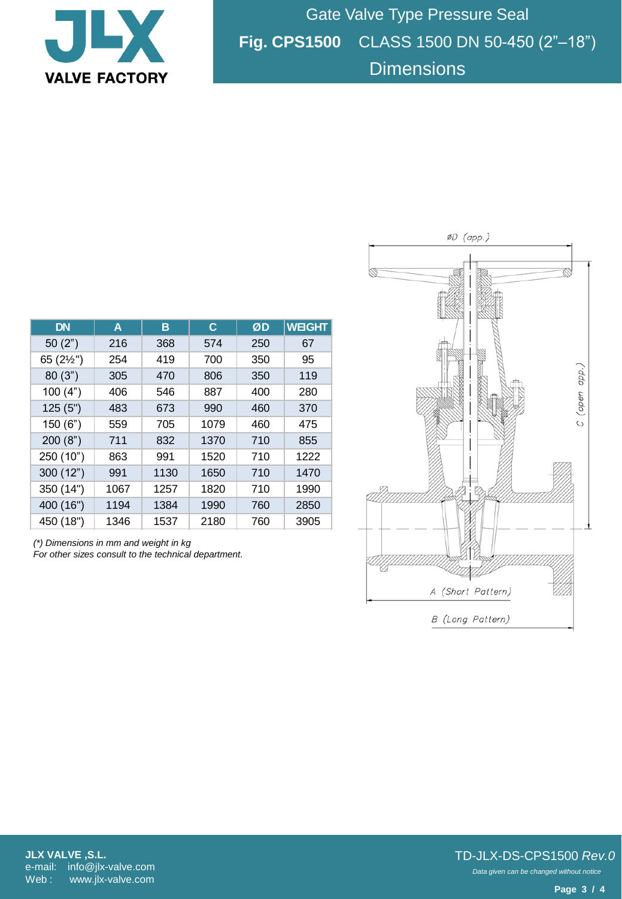

Gate Valve Type Pressure Seal **Fig. CPS1500** CLASS 1500 DN 50-450 (2"–18") **Dimensions** 

| <b>DN</b>           | A    | в    | C    | ØD  | <b>WEIGHT</b> |
|---------------------|------|------|------|-----|---------------|
| 50(2")              | 216  | 368  | 574  | 250 | 67            |
| 65 $(2\frac{1}{2})$ | 254  | 419  | 700  | 350 | 95            |
| 80(3")              | 305  | 470  | 806  | 350 | 119           |
| 100(4")             | 406  | 546  | 887  | 400 | 280           |
| 125(5")             | 483  | 673  | 990  | 460 | 370           |
| 150(6")             | 559  | 705  | 1079 | 460 | 475           |
| 200(8")             | 711  | 832  | 1370 | 710 | 855           |
| 250 (10")           | 863  | 991  | 1520 | 710 | 1222          |
| 300(12")            | 991  | 1130 | 1650 | 710 | 1470          |
| 350 (14")           | 1067 | 1257 | 1820 | 710 | 1990          |
| 400 (16")           | 1194 | 1384 | 1990 | 760 | 2850          |
| 450 (18")           | 1346 | 1537 | 2180 | 760 | 3905          |

*(\*) Dimensions in mm and weight in kg For other sizes consult to the technical department.*



*Data given can be changed without notice.* TD-JLX-DS-CPS1500 *Rev.0*

**Page 3 / 4**